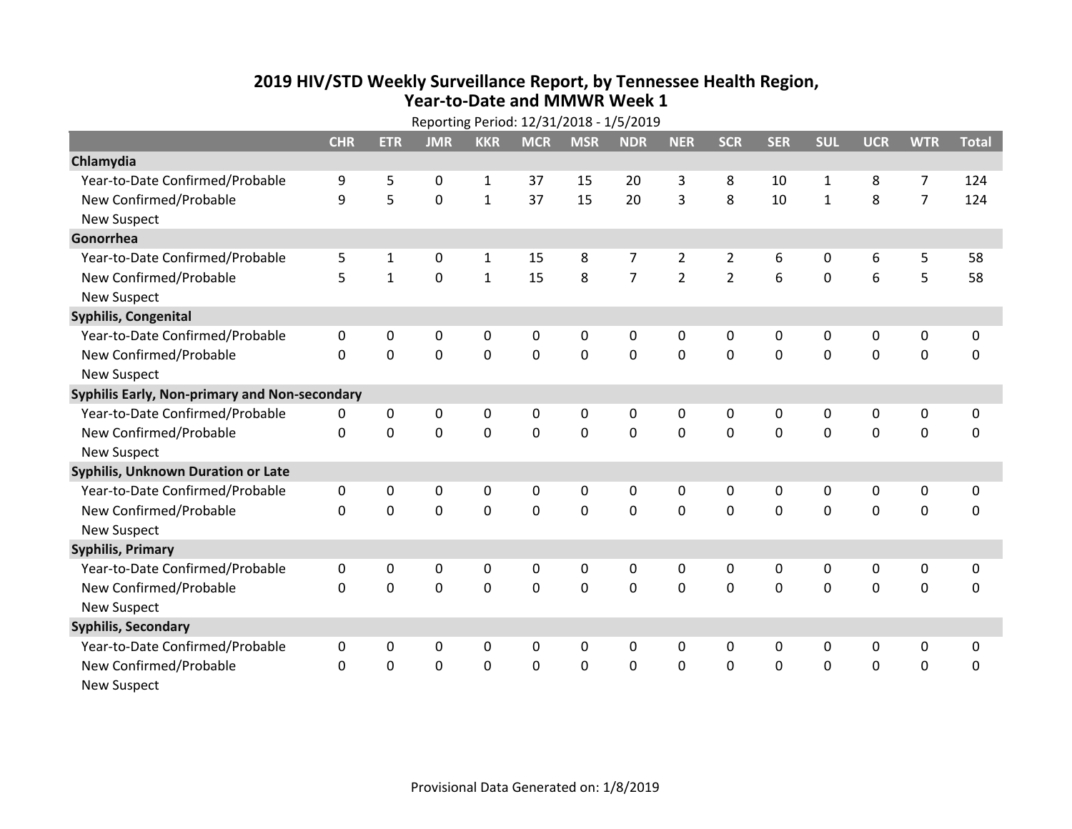## **2019 HIV /STD Weekly Surveillance Report, by Tennessee Health Region, Year‐to‐Date and MMWR Week 1**

|                                               | Reporting Period: 12/31/2018 - 1/5/2019 |                |                |              |             |             |                |                |                |             |                |                |                |              |
|-----------------------------------------------|-----------------------------------------|----------------|----------------|--------------|-------------|-------------|----------------|----------------|----------------|-------------|----------------|----------------|----------------|--------------|
|                                               | <b>CHR</b>                              | <b>ETR</b>     | <b>JMR</b>     | <b>KKR</b>   | <b>MCR</b>  | <b>MSR</b>  | <b>NDR</b>     | <b>NER</b>     | <b>SCR</b>     | <b>SER</b>  | <b>SUL</b>     | <b>UCR</b>     | <b>WTR</b>     | <b>Total</b> |
| Chlamydia                                     |                                         |                |                |              |             |             |                |                |                |             |                |                |                |              |
| Year-to-Date Confirmed/Probable               | 9                                       | 5              | 0              | $\mathbf{1}$ | 37          | 15          | 20             | 3              | 8              | 10          | $\mathbf{1}$   | 8              | $\overline{7}$ | 124          |
| New Confirmed/Probable                        | 9                                       | 5              | 0              | $\mathbf{1}$ | 37          | 15          | 20             | 3              | 8              | 10          | $\mathbf{1}$   | 8              | $\overline{7}$ | 124          |
| <b>New Suspect</b>                            |                                         |                |                |              |             |             |                |                |                |             |                |                |                |              |
| Gonorrhea                                     |                                         |                |                |              |             |             |                |                |                |             |                |                |                |              |
| Year-to-Date Confirmed/Probable               | 5                                       | 1              | 0              | $\mathbf{1}$ | 15          | 8           | $\overline{7}$ | $\overline{2}$ | $\overline{2}$ | 6           | 0              | 6              | 5              | 58           |
| New Confirmed/Probable                        | 5                                       | $\mathbf{1}$   | 0              | $\mathbf{1}$ | 15          | 8           | $\overline{7}$ | $\overline{2}$ | $\overline{2}$ | 6           | $\mathbf 0$    | 6              | 5              | 58           |
| <b>New Suspect</b>                            |                                         |                |                |              |             |             |                |                |                |             |                |                |                |              |
| <b>Syphilis, Congenital</b>                   |                                         |                |                |              |             |             |                |                |                |             |                |                |                |              |
| Year-to-Date Confirmed/Probable               | $\pmb{0}$                               | 0              | 0              | $\pmb{0}$    | 0           | $\pmb{0}$   | 0              | 0              | 0              | $\pmb{0}$   | 0              | $\mathbf 0$    | 0              | $\pmb{0}$    |
| New Confirmed/Probable                        | 0                                       | 0              | 0              | $\mathbf 0$  | 0           | $\mathbf 0$ | $\mathbf 0$    | 0              | 0              | $\mathbf 0$ | 0              | $\mathbf 0$    | 0              | $\mathbf 0$  |
| <b>New Suspect</b>                            |                                         |                |                |              |             |             |                |                |                |             |                |                |                |              |
| Syphilis Early, Non-primary and Non-secondary |                                         |                |                |              |             |             |                |                |                |             |                |                |                |              |
| Year-to-Date Confirmed/Probable               | 0                                       | 0              | 0              | $\pmb{0}$    | 0           | $\mathbf 0$ | 0              | 0              | 0              | 0           | 0              | $\mathbf 0$    | 0              | $\pmb{0}$    |
| New Confirmed/Probable                        | $\mathbf 0$                             | $\mathbf 0$    | $\mathbf 0$    | $\mathbf 0$  | $\mathbf 0$ | $\mathbf 0$ | $\mathbf 0$    | $\mathbf 0$    | $\mathbf 0$    | $\mathbf 0$ | 0              | $\mathbf 0$    | $\mathbf 0$    | $\mathbf 0$  |
| <b>New Suspect</b>                            |                                         |                |                |              |             |             |                |                |                |             |                |                |                |              |
| Syphilis, Unknown Duration or Late            |                                         |                |                |              |             |             |                |                |                |             |                |                |                |              |
| Year-to-Date Confirmed/Probable               | 0                                       | 0              | 0              | 0            | 0           | $\pmb{0}$   | 0              | 0              | 0              | $\mathbf 0$ | 0              | $\mathbf 0$    | 0              | $\pmb{0}$    |
| New Confirmed/Probable                        | $\mathbf 0$                             | $\overline{0}$ | $\overline{0}$ | $\mathbf 0$  | $\mathbf 0$ | $\mathbf 0$ | $\mathbf 0$    | $\Omega$       | $\Omega$       | $\Omega$    | $\overline{0}$ | $\overline{0}$ | $\mathbf 0$    | 0            |
| <b>New Suspect</b>                            |                                         |                |                |              |             |             |                |                |                |             |                |                |                |              |
| <b>Syphilis, Primary</b>                      |                                         |                |                |              |             |             |                |                |                |             |                |                |                |              |
| Year-to-Date Confirmed/Probable               | $\mathbf 0$                             | 0              | 0              | 0            | 0           | $\mathbf 0$ | 0              | 0              | 0              | $\mathbf 0$ | 0              | $\mathbf 0$    | 0              | $\mathbf 0$  |
| New Confirmed/Probable                        | 0                                       | 0              | $\mathbf 0$    | 0            | 0           | 0           | 0              | $\Omega$       | $\Omega$       | 0           | 0              | $\mathbf 0$    | 0              | 0            |
| <b>New Suspect</b>                            |                                         |                |                |              |             |             |                |                |                |             |                |                |                |              |
| <b>Syphilis, Secondary</b>                    |                                         |                |                |              |             |             |                |                |                |             |                |                |                |              |
| Year-to-Date Confirmed/Probable               | 0                                       | 0              | 0              | 0            | 0           | 0           | 0              | 0              | 0              | 0           | 0              | $\mathbf 0$    | 0              | $\mathbf 0$  |
| New Confirmed/Probable                        | 0                                       | 0              | 0              | 0            | 0           | 0           | $\mathbf 0$    | $\mathbf 0$    | 0              | 0           | 0              | $\mathbf 0$    | 0              | $\mathbf 0$  |
| <b>New Suspect</b>                            |                                         |                |                |              |             |             |                |                |                |             |                |                |                |              |